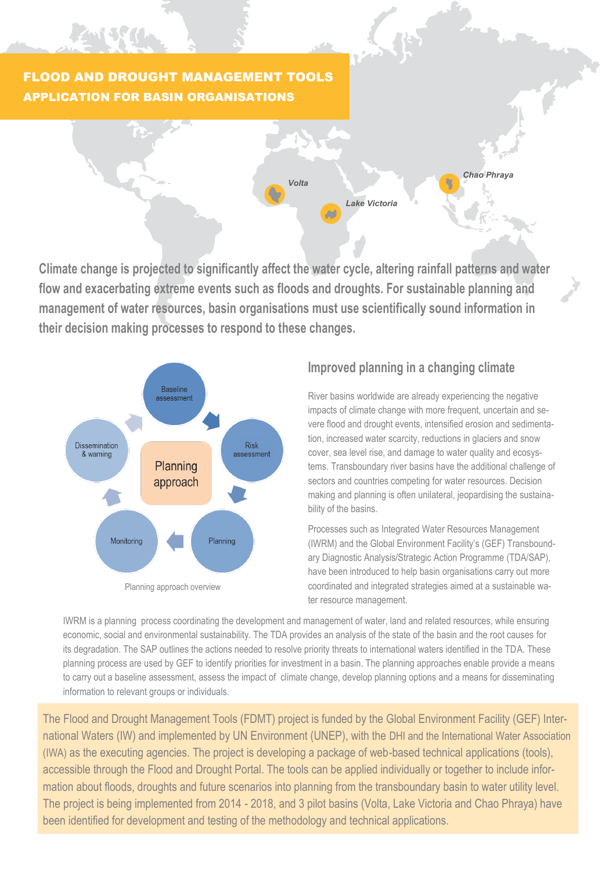# FLOOD AND DROUGHT MANAGEMENT TOOLS APPLICATION FOR BASIN ORGANISATIONS



**Climate change is projected to significantly affect the water cycle, altering rainfall patterns and water flow and exacerbating extreme events such as floods and droughts. For sustainable planning and management of water resources, basin organisations must use scientifically sound information in their decision making processes to respond to these changes.**



## **Improved planning in a changing climate**

River basins worldwide are already experiencing the negative impacts of climate change with more frequent, uncertain and severe flood and drought events, intensified erosion and sedimentation, increased water scarcity, reductions in glaciers and snow cover, sea level rise, and damage to water quality and ecosystems. Transboundary river basins have the additional challenge of sectors and countries competing for water resources. Decision making and planning is often unilateral, jeopardising the sustainability of the basins.

Processes such as Integrated Water Resources Management (IWRM) and the Global Environment Facility's (GEF) Transboundary Diagnostic Analysis/Strategic Action Programme (TDA/SAP), have been introduced to help basin organisations carry out more coordinated and integrated strategies aimed at a sustainable water resource management.

IWRM is a planning process coordinating the development and management of water, land and related resources, while ensuring economic, social and environmental sustainability. The TDA provides an analysis of the state of the basin and the root causes for its degradation. The SAP outlines the actions needed to resolve priority threats to international waters identified in the TDA. These planning process are used by GEF to identify priorities for investment in a basin. The planning approaches enable provide a means to carry out a baseline assessment, assess the impact of climate change, develop planning options and a means for disseminating information to relevant groups or individuals.

The Flood and Drought Management Tools (FDMT) project is funded by the Global Environment Facility (GEF) International Waters (IW) and implemented by UN Environment (UNEP), with the DHI and the International Water Association (IWA) as the executing agencies. The project is developing a package of web-based technical applications (tools), accessible through the Flood and Drought Portal. The tools can be applied individually or together to include information about floods, droughts and future scenarios into planning from the transboundary basin to water utility level. The project is being implemented from 2014 - 2018, and 3 pilot basins (Volta, Lake Victoria and Chao Phraya) have been identified for development and testing of the methodology and technical applications.